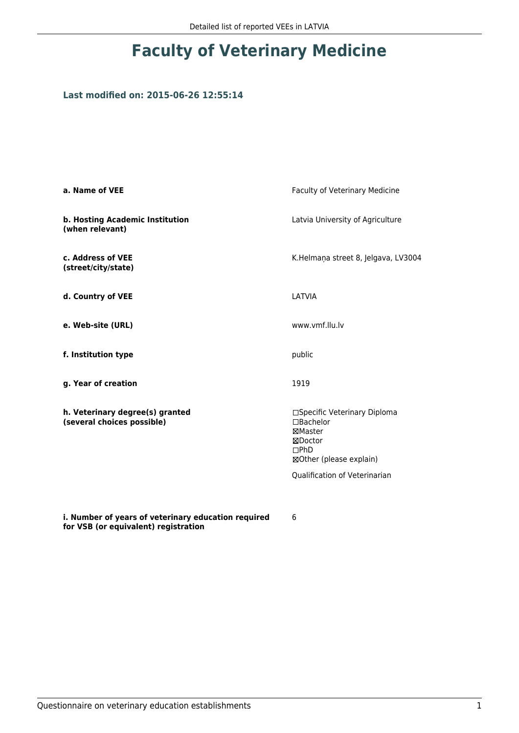## **Faculty of Veterinary Medicine**

## **Last modified on: 2015-06-26 12:55:14**

| a. Name of VEE                                                | Faculty of Veterinary Medicine                                                                     |  |
|---------------------------------------------------------------|----------------------------------------------------------------------------------------------------|--|
| b. Hosting Academic Institution<br>(when relevant)            | Latvia University of Agriculture                                                                   |  |
| c. Address of VEE<br>(street/city/state)                      | K.Helmaņa street 8, Jelgava, LV3004                                                                |  |
| d. Country of VEE                                             | LATVIA                                                                                             |  |
| e. Web-site (URL)                                             | www.vmf.llu.lv                                                                                     |  |
| f. Institution type                                           | public<br>1919                                                                                     |  |
| g. Year of creation                                           |                                                                                                    |  |
| h. Veterinary degree(s) granted<br>(several choices possible) | □Specific Veterinary Diploma<br>□Bachelor<br>⊠Master<br>⊠Doctor<br>DPhD<br>⊠Other (please explain) |  |
|                                                               | Qualification of Veterinarian                                                                      |  |
|                                                               |                                                                                                    |  |
| i. Number of years of veterinary education required           | 6                                                                                                  |  |

**for VSB (or equivalent) registration**

6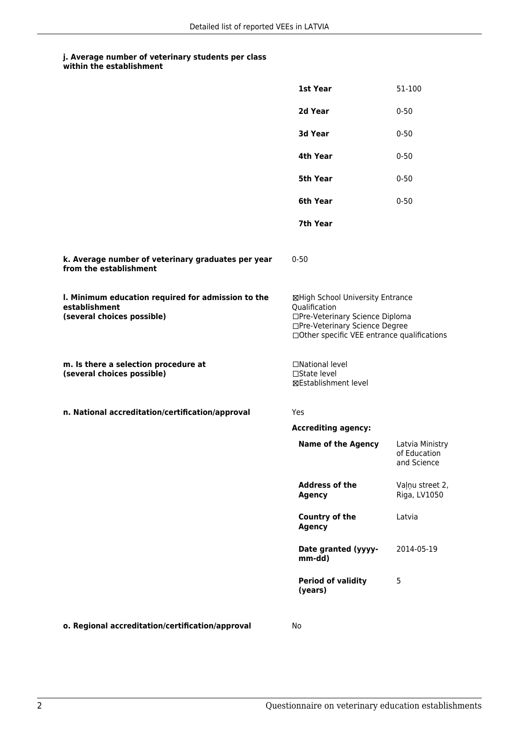## **j. Average number of veterinary students per class**

| within the establishment |
|--------------------------|
|                          |

|                                                                                                   | 1st Year                                                                                                                                                              | 51-100                                         |
|---------------------------------------------------------------------------------------------------|-----------------------------------------------------------------------------------------------------------------------------------------------------------------------|------------------------------------------------|
|                                                                                                   | 2d Year                                                                                                                                                               | $0 - 50$                                       |
|                                                                                                   | 3d Year                                                                                                                                                               | $0 - 50$                                       |
|                                                                                                   | 4th Year                                                                                                                                                              | $0 - 50$                                       |
|                                                                                                   | 5th Year                                                                                                                                                              | $0 - 50$                                       |
|                                                                                                   | 6th Year                                                                                                                                                              | $0 - 50$                                       |
|                                                                                                   | 7th Year                                                                                                                                                              |                                                |
| k. Average number of veterinary graduates per year<br>from the establishment                      | $0 - 50$                                                                                                                                                              |                                                |
| I. Minimum education required for admission to the<br>establishment<br>(several choices possible) | ⊠High School University Entrance<br>Qualification<br>□Pre-Veterinary Science Diploma<br>□Pre-Veterinary Science Degree<br>□Other specific VEE entrance qualifications |                                                |
| m. Is there a selection procedure at<br>(several choices possible)                                | □National level<br>$\square$ State level<br><b>⊠Establishment level</b>                                                                                               |                                                |
| n. National accreditation/certification/approval                                                  | Yes                                                                                                                                                                   |                                                |
|                                                                                                   | <b>Accrediting agency:</b>                                                                                                                                            |                                                |
|                                                                                                   | <b>Name of the Agency</b>                                                                                                                                             | Latvia Ministry<br>of Education<br>and Science |
|                                                                                                   | <b>Address of the</b><br><b>Agency</b>                                                                                                                                | Vaļņu street 2,<br>Riga, LV1050                |
|                                                                                                   | Country of the<br><b>Agency</b>                                                                                                                                       | Latvia                                         |
|                                                                                                   | Date granted (yyyy-<br>mm-dd)                                                                                                                                         | 2014-05-19                                     |
|                                                                                                   | <b>Period of validity</b><br>(years)                                                                                                                                  | 5                                              |
| o. Regional accreditation/certification/approval                                                  | No                                                                                                                                                                    |                                                |